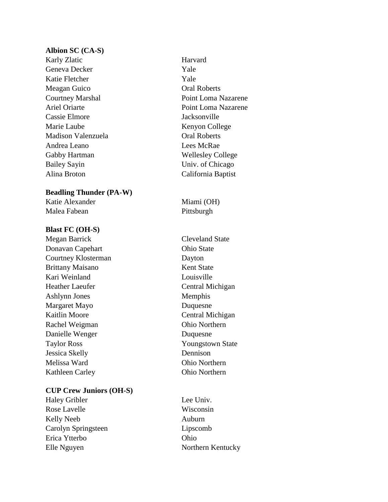#### **Albion SC (CA-S)**

Karly Zlatic Harvard Geneva Decker Yale Katie Fletcher Yale Meagan Guico Oral Roberts Cassie Elmore Jacksonville Marie Laube Kenyon College Madison Valenzuela Oral Roberts Andrea Leano Lees McRae Gabby Hartman Wellesley College Bailey Sayin Univ. of Chicago Alina Broton California Baptist

## **Beadling Thunder (PA-W)**

Katie Alexander Miami (OH) Malea Fabean Pittsburgh

# **Blast FC (OH-S)**

Megan Barrick Cleveland State Donavan Capehart **Ohio State** Courtney Klosterman Dayton Brittany Maisano Kent State Kari Weinland Louisville Heather Laeufer **Central Michigan** Ashlynn Jones Memphis Margaret Mayo Duquesne Kaitlin Moore **Central Michigan** Rachel Weigman Ohio Northern Danielle Wenger Duquesne Taylor Ross Youngstown State Jessica Skelly Dennison Melissa Ward Ohio Northern Kathleen Carley **Ohio Northern** 

# **CUP Crew Juniors (OH-S)**

Haley Gribler Lee Univ. Rose Lavelle Wisconsin Kelly Neeb Auburn Carolyn Springsteen Lipscomb Erica Ytterbo Ohio Elle Nguyen Northern Kentucky

Courtney Marshal Point Loma Nazarene Ariel Oriarte **Point Loma Nazarene**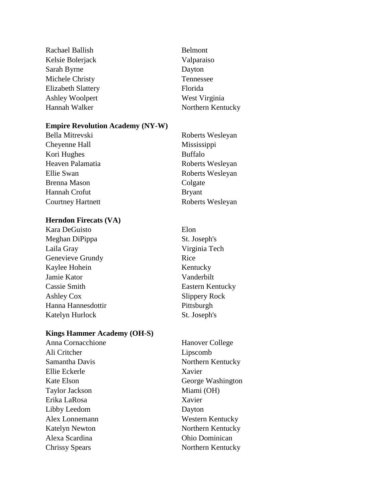Rachael Ballish Belmont Kelsie Bolerjack Valparaiso Sarah Byrne Dayton Michele Christy Tennessee Elizabeth Slattery Florida Ashley Woolpert West Virginia Hannah Walker Northern Kentucky

#### **Empire Revolution Academy (NY-W)**

Cheyenne Hall Mississippi Kori Hughes Buffalo Heaven Palamatia Roberts Wesleyan Ellie Swan Roberts Wesleyan Brenna Mason Colgate Hannah Crofut Bryant Courtney Hartnett Roberts Wesleyan

# **Herndon Firecats (VA)**

Kara DeGuisto Elon Meghan DiPippa St. Joseph's Laila Gray Virginia Tech Genevieve Grundy Rice Kaylee Hohein Kentucky Jamie Kator Vanderbilt **Cassie Smith Eastern Kentucky** Ashley Cox Slippery Rock Hanna Hannesdottir Pittsburgh Katelyn Hurlock St. Joseph's

#### **Kings Hammer Academy (OH-S)**

Ali Critcher Lipscomb Ellie Eckerle Xavier Taylor Jackson Miami (OH) Erika LaRosa Xavier Libby Leedom Dayton Alexa Scardina Ohio Dominican Chrissy Spears Northern Kentucky

Anna Cornacchione Hanover College Samantha Davis Northern Kentucky Kate Elson George Washington Alex Lonnemann Western Kentucky Katelyn Newton Northern Kentucky

Bella Mitrevski Roberts Wesleyan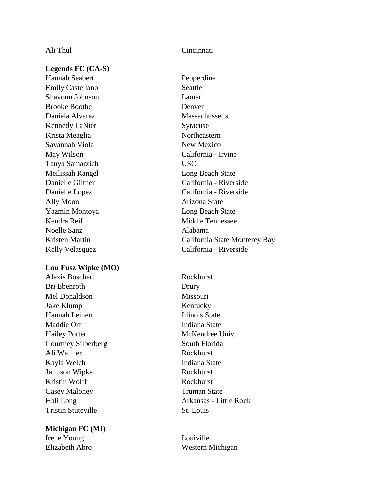**Legends FC (CA-S)**

Hannah Seabert Pepperdine Emily Castellano Seattle Shavonn Johnson Lamar Brooke Boothe Denver Daniela Alvarez Massachussetts Kennedy LaNier Syracuse Krista Meaglia Northeastern Savannah Viola New Mexico May Wilson California - Irvine Tanya Samarzich USC Meilissah Rangel **Long Beach State** Ally Moon Arizona State Yazmin Montoya Long Beach State Kendra Reif Middle Tennessee Noelle Sanz Alabama

#### **Lou Fusz Wipke (MO)**

Alexis Boschert Rockhurst Bri Ebenroth Drury Mel Donaldson Missouri Jake Klump Kentucky Hannah Leinert Illinois State Maddie Orf Indiana State Hailey Porter McKendree Univ. Courtney Silberberg South Florida Ali Wallner Rockhurst Kayla Welch Indiana State Jamison Wipke Rockhurst Kristin Wolff Rockhurst Casey Maloney Truman State Tristin Stuteville St. Louis

## **Michigan FC (MI)** Irene Young Louiville

# Ali Thul Cincinnati

Danielle Giltner California - Riverside Danielle Lopez California - Riverside Kristen Martin California State Monterey Bay Kelly Velasquez California - Riverside

Hali Long Arkansas - Little Rock

Elizabeth Abro Western Michigan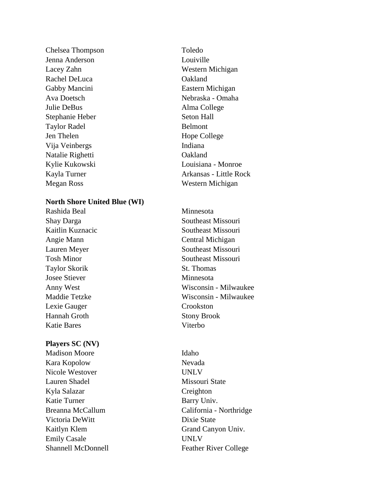Chelsea Thompson Toledo Jenna Anderson Louiville Rachel DeLuca **Oakland** Gabby Mancini Eastern Michigan Julie DeBus Alma College Stephanie Heber Seton Hall Taylor Radel Belmont Jen Thelen Hope College Vija Veinbergs Indiana Natalie Righetti Oakland Megan Ross Western Michigan

#### **North Shore United Blue (WI)**

Rashida Beal Minnesota Taylor Skorik St. Thomas Josee Stiever Minnesota Lexie Gauger Crookston Hannah Groth Stony Brook Katie Bares Viterbo

## **Players SC (NV)**

Madison Moore Idaho Kara Kopolow Nevada Nicole Westover UNLV Lauren Shadel Missouri State Kyla Salazar Creighton Katie Turner Barry Univ. Victoria DeWitt Dixie State Emily Casale UNLV

Lacey Zahn Western Michigan Ava Doetsch Nebraska - Omaha Kylie Kukowski Louisiana - Monroe Kayla Turner **Arkansas** - Little Rock

Shay Darga Southeast Missouri Kaitlin Kuznacic Southeast Missouri Angie Mann Central Michigan Lauren Meyer Southeast Missouri Tosh Minor Southeast Missouri Anny West Wisconsin - Milwaukee Maddie Tetzke Wisconsin - Milwaukee

Breanna McCallum California - Northridge Kaitlyn Klem Grand Canyon Univ. Shannell McDonnell **Feather River College**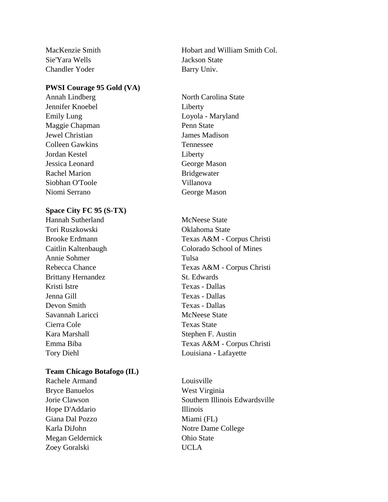Sie'Yara Wells Jackson State Chandler Yoder Barry Univ.

#### **PWSI Courage 95 Gold (VA)**

Jennifer Knoebel Liberty Maggie Chapman Penn State Jewel Christian James Madison Colleen Gawkins Tennessee Jordan Kestel Liberty Jessica Leonard George Mason Rachel Marion Bridgewater Siobhan O'Toole Villanova Niomi Serrano George Mason

## **Space City FC 95 (S-TX)**

Hannah Sutherland McNeese State Tori Ruszkowski Oklahoma State Annie Sohmer Tulsa Brittany Hernandez St. Edwards Kristi Istre Texas - Dallas Jenna Gill Texas - Dallas Devon Smith Texas - Dallas Savannah Laricci McNeese State Cierra Cole Texas State Kara Marshall Stephen F. Austin

#### **Team Chicago Botafogo (IL)**

Rachele Armand Louisville Bryce Banuelos West Virginia Hope D'Addario Illinois Giana Dal Pozzo Miami (FL) Karla DiJohn Notre Dame College Megan Geldernick Ohio State Zoey Goralski UCLA

MacKenzie Smith **Hobart and William Smith Col.** 

Annah Lindberg North Carolina State Emily Lung Loyola - Maryland

Brooke Erdmann Texas A&M - Corpus Christi Caitlin Kaltenbaugh Colorado School of Mines Rebecca Chance Texas A&M - Corpus Christi Emma Biba Texas A&M - Corpus Christi Tory Diehl Louisiana - Lafayette

Jorie Clawson Southern Illinois Edwardsville